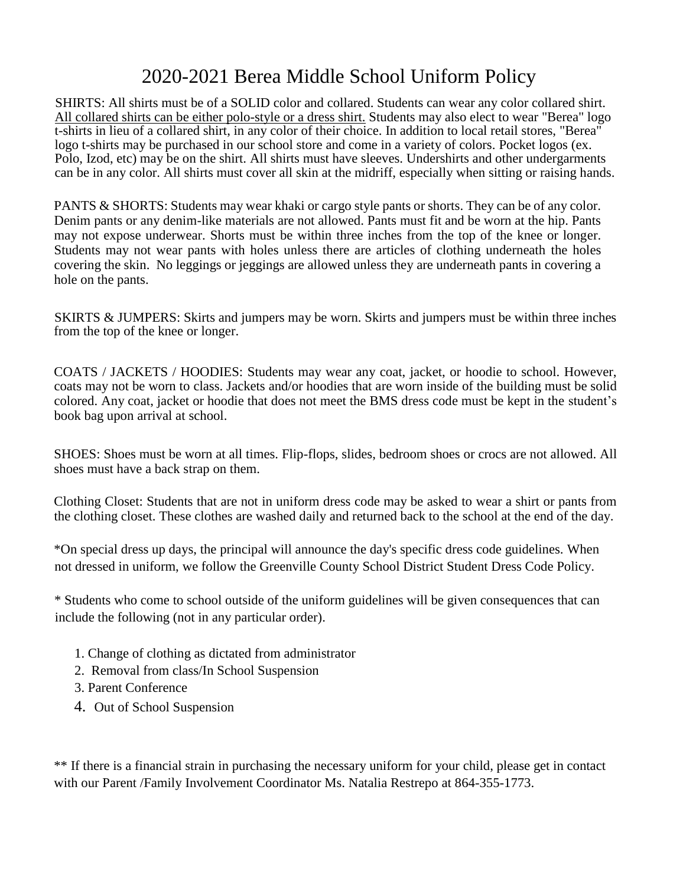## 2020-2021 Berea Middle School Uniform Policy

SHIRTS: All shirts must be of a SOLID color and collared. Students can wear any color collared shirt. All collared shirts can be either polo-style or a dress shirt. Students may also elect to wear "Berea" logo t-shirts in lieu of a collared shirt, in any color of their choice. In addition to local retail stores, "Berea" logo t-shirts may be purchased in our school store and come in a variety of colors. Pocket logos (ex. Polo, Izod, etc) may be on the shirt. All shirts must have sleeves. Undershirts and other undergarments can be in any color. All shirts must cover all skin at the midriff, especially when sitting or raising hands.

PANTS & SHORTS: Students may wear khaki or cargo style pants or shorts. They can be of any color. Denim pants or any denim-like materials are not allowed. Pants must fit and be worn at the hip. Pants may not expose underwear. Shorts must be within three inches from the top of the knee or longer. Students may not wear pants with holes unless there are articles of clothing underneath the holes covering the skin. No leggings or jeggings are allowed unless they are underneath pants in covering a hole on the pants.

SKIRTS & JUMPERS: Skirts and jumpers may be worn. Skirts and jumpers must be within three inches from the top of the knee or longer.

COATS / JACKETS / HOODIES: Students may wear any coat, jacket, or hoodie to school. However, coats may not be worn to class. Jackets and/or hoodies that are worn inside of the building must be solid colored. Any coat, jacket or hoodie that does not meet the BMS dress code must be kept in the student's book bag upon arrival at school.

SHOES: Shoes must be worn at all times. Flip-flops, slides, bedroom shoes or crocs are not allowed. All shoes must have a back strap on them.

Clothing Closet: Students that are not in uniform dress code may be asked to wear a shirt or pants from the clothing closet. These clothes are washed daily and returned back to the school at the end of the day.

\*On special dress up days, the principal will announce the day's specific dress code guidelines. When not dressed in uniform, we follow the Greenville County School District Student Dress Code Policy.

\* Students who come to school outside of the uniform guidelines will be given consequences that can include the following (not in any particular order).

- 1. Change of clothing as dictated from administrator
- 2. Removal from class/In School Suspension
- 3. Parent Conference
- 4. Out of School Suspension

\*\* If there is a financial strain in purchasing the necessary uniform for your child, please get in contact with our Parent /Family Involvement Coordinator Ms. Natalia Restrepo at 864-355-1773.